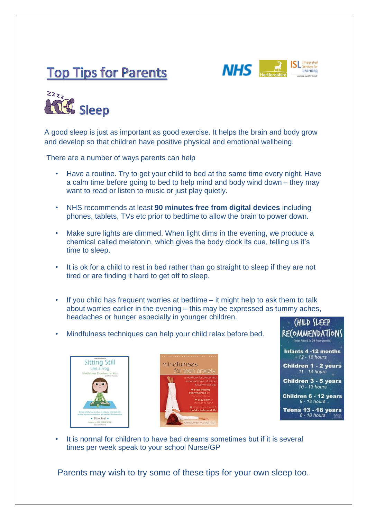





A good sleep is just as important as good exercise. It helps the brain and body grow and develop so that children have positive physical and emotional wellbeing.

There are a number of ways parents can help

- Have a routine. Try to get your child to bed at the same time every night. Have a calm time before going to bed to help mind and body wind down – they may want to read or listen to music or just play quietly.
- NHS recommends at least **90 minutes free from digital devices** including phones, tablets, TVs etc prior to bedtime to allow the brain to power down.
- Make sure lights are dimmed. When light dims in the evening, we produce a chemical called melatonin, which gives the body clock its cue, telling us it's time to sleep.
- It is ok for a child to rest in bed rather than go straight to sleep if they are not tired or are finding it hard to get off to sleep.
- If you child has frequent worries at bedtime it might help to ask them to talk about worries earlier in the evening – this may be expressed as tummy aches, headaches or hunger especially in younger children.
- Mindfulness techniques can help your child relax before bed.







It is normal for children to have bad dreams sometimes but if it is several times per week speak to your school Nurse/GP

Parents may wish to try some of these tips for your own sleep too.